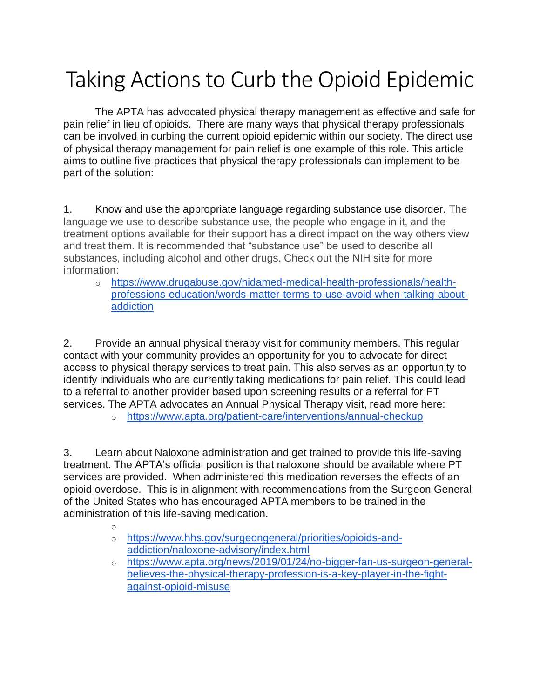## Taking Actions to Curb the Opioid Epidemic

The APTA has advocated physical therapy management as effective and safe for pain relief in lieu of opioids. There are many ways that physical therapy professionals can be involved in curbing the current opioid epidemic within our society. The direct use of physical therapy management for pain relief is one example of this role. This article aims to outline five practices that physical therapy professionals can implement to be part of the solution:

1. Know and use the appropriate language regarding substance use disorder. The language we use to describe substance use, the people who engage in it, and the treatment options available for their support has a direct impact on the way others view and treat them. It is recommended that "substance use" be used to describe all substances, including alcohol and other drugs. Check out the NIH site for more information:

o [https://www.drugabuse.gov/nidamed-medical-health-professionals/health](https://www.drugabuse.gov/nidamed-medical-health-professionals/health-professions-education/words-matter-terms-to-use-avoid-when-talking-about-addiction)[professions-education/words-matter-terms-to-use-avoid-when-talking-about](https://www.drugabuse.gov/nidamed-medical-health-professionals/health-professions-education/words-matter-terms-to-use-avoid-when-talking-about-addiction)[addiction](https://www.drugabuse.gov/nidamed-medical-health-professionals/health-professions-education/words-matter-terms-to-use-avoid-when-talking-about-addiction)

2. Provide an annual physical therapy visit for community members. This regular contact with your community provides an opportunity for you to advocate for direct access to physical therapy services to treat pain. This also serves as an opportunity to identify individuals who are currently taking medications for pain relief. This could lead to a referral to another provider based upon screening results or a referral for PT services. The APTA advocates an Annual Physical Therapy visit, read more here:

o <https://www.apta.org/patient-care/interventions/annual-checkup>

3. Learn about Naloxone administration and get trained to provide this life-saving treatment. The APTA's official position is that naloxone should be available where PT services are provided. When administered this medication reverses the effects of an opioid overdose. This is in alignment with recommendations from the Surgeon General of the United States who has encouraged APTA members to be trained in the administration of this life-saving medication.

- o
- o [https://www.hhs.gov/surgeongeneral/priorities/opioids-and](https://www.hhs.gov/surgeongeneral/priorities/opioids-and-addiction/naloxone-advisory/index.html)[addiction/naloxone-advisory/index.html](https://www.hhs.gov/surgeongeneral/priorities/opioids-and-addiction/naloxone-advisory/index.html)
- o [https://www.apta.org/news/2019/01/24/no-bigger-fan-us-surgeon-general](https://www.apta.org/news/2019/01/24/no-bigger-fan-us-surgeon-general-believes-the-physical-therapy-profession-is-a-key-player-in-the-fight-against-opioid-misuse)[believes-the-physical-therapy-profession-is-a-key-player-in-the-fight](https://www.apta.org/news/2019/01/24/no-bigger-fan-us-surgeon-general-believes-the-physical-therapy-profession-is-a-key-player-in-the-fight-against-opioid-misuse)[against-opioid-misuse](https://www.apta.org/news/2019/01/24/no-bigger-fan-us-surgeon-general-believes-the-physical-therapy-profession-is-a-key-player-in-the-fight-against-opioid-misuse)